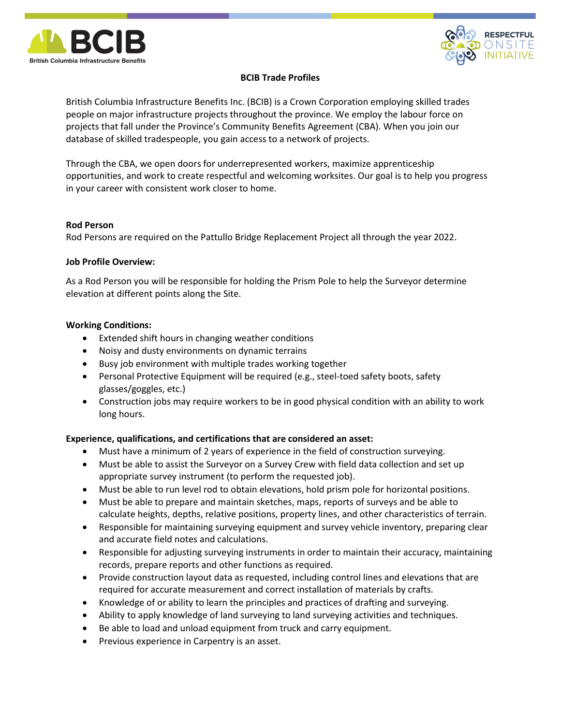



# BCIB Trade Profiles

British Columbia Infrastructure Benefits Inc. (BCIB) is a Crown Corporation employing skilled trades people on major infrastructure projects throughout the province. We employ the labour force on projects that fall under the Province's Community Benefits Agreement (CBA). When you join our database of skilled tradespeople, you gain access to a network of projects.

Through the CBA, we open doors for underrepresented workers, maximize apprenticeship opportunities, and work to create respectful and welcoming worksites. Our goal is to help you progress in your career with consistent work closer to home.

## Rod Person

Rod Persons are required on the Pattullo Bridge Replacement Project all through the year 2022.

## Job Profile Overview:

As a Rod Person you will be responsible for holding the Prism Pole to help the Surveyor determine elevation at different points along the Site.

## Working Conditions:

- Extended shift hours in changing weather conditions
- Noisy and dusty environments on dynamic terrains
- Busy job environment with multiple trades working together
- Personal Protective Equipment will be required (e.g., steel-toed safety boots, safety glasses/goggles, etc.)
- Construction jobs may require workers to be in good physical condition with an ability to work long hours.

## Experience, qualifications, and certifications that are considered an asset:

- Must have a minimum of 2 years of experience in the field of construction surveying.
- Must be able to assist the Surveyor on a Survey Crew with field data collection and set up appropriate survey instrument (to perform the requested job).
- Must be able to run level rod to obtain elevations, hold prism pole for horizontal positions.
- Must be able to prepare and maintain sketches, maps, reports of surveys and be able to calculate heights, depths, relative positions, property lines, and other characteristics of terrain.
- Responsible for maintaining surveying equipment and survey vehicle inventory, preparing clear and accurate field notes and calculations.
- Responsible for adjusting surveying instruments in order to maintain their accuracy, maintaining records, prepare reports and other functions as required.
- Provide construction layout data as requested, including control lines and elevations that are required for accurate measurement and correct installation of materials by crafts.
- Knowledge of or ability to learn the principles and practices of drafting and surveying.
- Ability to apply knowledge of land surveying to land surveying activities and techniques.
- Be able to load and unload equipment from truck and carry equipment.
- Previous experience in Carpentry is an asset.